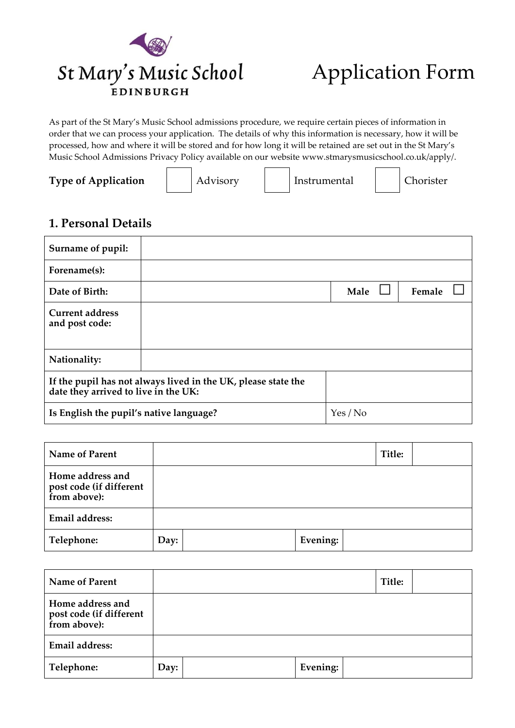

# Application Form

As part of the St Mary's Music School admissions procedure, we require certain pieces of information in order that we can process your application. The details of why this information is necessary, how it will be processed, how and where it will be stored and for how long it will be retained are set out in the St Mary's Music School Admissions Privacy Policy available on our website www.stmarysmusicschool.co.uk/apply/.

**Type of Application** | Advisory | Instrumental | Chorister

### **1. Personal Details**

| Surname of pupil:                        |                                                               |          |        |
|------------------------------------------|---------------------------------------------------------------|----------|--------|
| Forename(s):                             |                                                               |          |        |
| Date of Birth:                           |                                                               | Male     | Female |
| <b>Current address</b><br>and post code: |                                                               |          |        |
| Nationality:                             |                                                               |          |        |
| date they arrived to live in the UK:     | If the pupil has not always lived in the UK, please state the |          |        |
| Is English the pupil's native language?  |                                                               | Yes / No |        |

| <b>Name of Parent</b>                                       |      |          | Title: |  |
|-------------------------------------------------------------|------|----------|--------|--|
| Home address and<br>post code (if different<br>from above): |      |          |        |  |
| Email address:                                              |      |          |        |  |
| Telephone:                                                  | Day: | Evening: |        |  |

| <b>Name of Parent</b>                                       |      |          | Title: |  |
|-------------------------------------------------------------|------|----------|--------|--|
| Home address and<br>post code (if different<br>from above): |      |          |        |  |
| Email address:                                              |      |          |        |  |
| Telephone:                                                  | Day: | Evening: |        |  |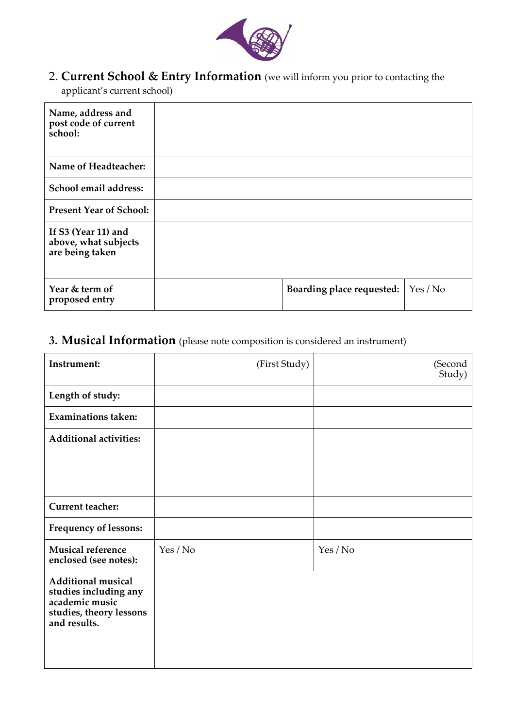

2. **Current School & Entry Information** (we will inform you prior to contacting the

applicant's current school)

| Name, address and<br>post code of current<br>school:           |                           |        |
|----------------------------------------------------------------|---------------------------|--------|
| Name of Headteacher:                                           |                           |        |
| School email address:                                          |                           |        |
| <b>Present Year of School:</b>                                 |                           |        |
| If S3 (Year 11) and<br>above, what subjects<br>are being taken |                           |        |
| Year & term of<br>proposed entry                               | Boarding place requested: | Yes/No |

# **3. Musical Information** (please note composition is considered an instrument)

| Instrument:                                                                                                     | (First Study) | (Second<br>Study) |
|-----------------------------------------------------------------------------------------------------------------|---------------|-------------------|
| Length of study:                                                                                                |               |                   |
| <b>Examinations taken:</b>                                                                                      |               |                   |
| <b>Additional activities:</b>                                                                                   |               |                   |
|                                                                                                                 |               |                   |
|                                                                                                                 |               |                   |
| <b>Current teacher:</b>                                                                                         |               |                   |
| <b>Frequency of lessons:</b>                                                                                    |               |                   |
| <b>Musical reference</b><br>enclosed (see notes):                                                               | Yes / No      | Yes / No          |
| <b>Additional musical</b><br>studies including any<br>academic music<br>studies, theory lessons<br>and results. |               |                   |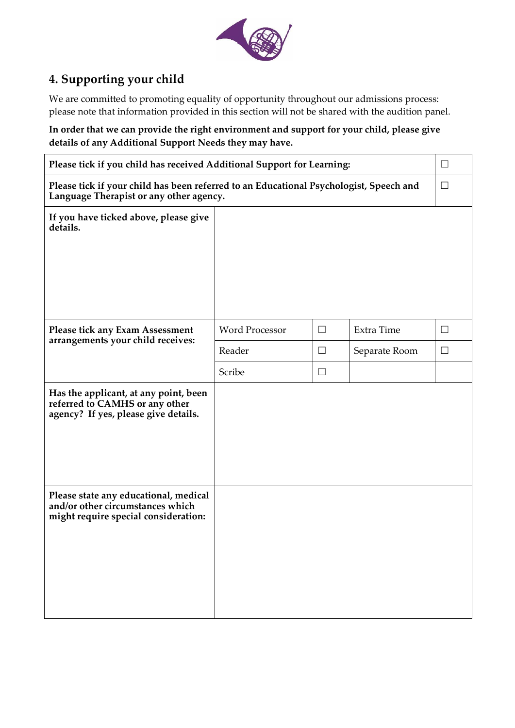

# **4. Supporting your child**

We are committed to promoting equality of opportunity throughout our admissions process: please note that information provided in this section will not be shared with the audition panel.

**In order that we can provide the right environment and support for your child, please give details of any Additional Support Needs they may have.**

| Please tick if you child has received Additional Support for Learning:                                                                      |                       |          |               | ப      |
|---------------------------------------------------------------------------------------------------------------------------------------------|-----------------------|----------|---------------|--------|
| Please tick if your child has been referred to an Educational Psychologist, Speech and<br>$\Box$<br>Language Therapist or any other agency. |                       |          |               |        |
| If you have ticked above, please give<br>details.                                                                                           |                       |          |               |        |
| Please tick any Exam Assessment<br>arrangements your child receives:                                                                        | <b>Word Processor</b> | $\Box$   | Extra Time    | $\Box$ |
|                                                                                                                                             | Reader                | $\Box$   | Separate Room | $\Box$ |
|                                                                                                                                             | Scribe                | $\sqcup$ |               |        |
| Has the applicant, at any point, been<br>referred to CAMHS or any other<br>agency? If yes, please give details.                             |                       |          |               |        |
| Please state any educational, medical<br>and/or other circumstances which<br>might require special consideration:                           |                       |          |               |        |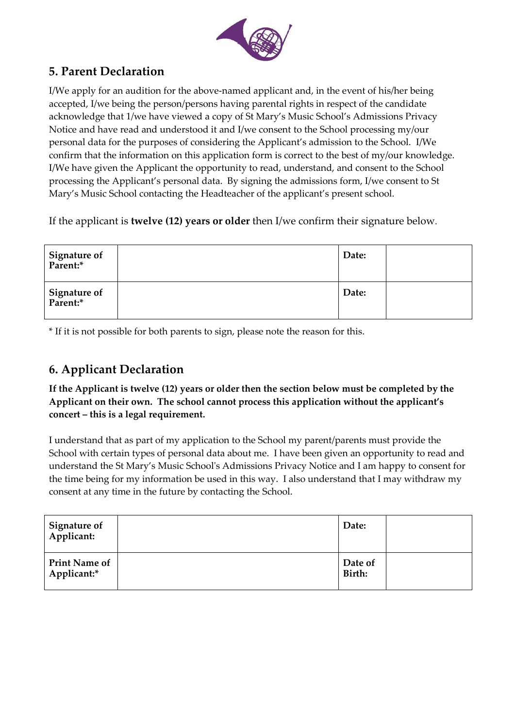

### **5. Parent Declaration**

I/We apply for an audition for the above-named applicant and, in the event of his/her being accepted, I/we being the person/persons having parental rights in respect of the candidate acknowledge that 1/we have viewed a copy of St Mary's Music School's Admissions Privacy Notice and have read and understood it and I/we consent to the School processing my/our personal data for the purposes of considering the Applicant's admission to the School. I/We confirm that the information on this application form is correct to the best of my/our knowledge. I/We have given the Applicant the opportunity to read, understand, and consent to the School processing the Applicant's personal data. By signing the admissions form, I/we consent to St Mary's Music School contacting the Headteacher of the applicant's present school.

If the applicant is **twelve (12) years or older** then I/we confirm their signature below.

| Signature of<br>Parent:* | Date: |  |
|--------------------------|-------|--|
| Signature of<br>Parent:* | Date: |  |

\* If it is not possible for both parents to sign, please note the reason for this.

### **6. Applicant Declaration**

**If the Applicant is twelve (12) years or older then the section below must be completed by the Applicant on their own. The school cannot process this application without the applicant's concert – this is a legal requirement.**

I understand that as part of my application to the School my parent/parents must provide the School with certain types of personal data about me. I have been given an opportunity to read and understand the St Mary's Music School's Admissions Privacy Notice and I am happy to consent for the time being for my information be used in this way. I also understand that I may withdraw my consent at any time in the future by contacting the School.

| <b>Signature of</b><br>Applicant:   | Date:             |  |
|-------------------------------------|-------------------|--|
| <b>Print Name of</b><br>Applicant:* | Date of<br>Birth: |  |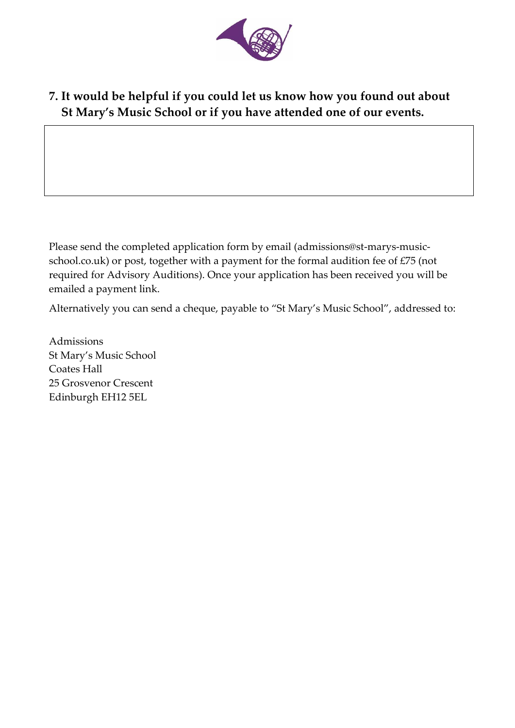

# **7. It would be helpful if you could let us know how you found out about St Mary's Music School or if you have attended one of our events.**

Please send the completed application form by email (admissions@st-marys-musicschool.co.uk) or post, together with a payment for the formal audition fee of £75 (not required for Advisory Auditions). Once your application has been received you will be emailed a payment link.

Alternatively you can send a cheque, payable to "St Mary's Music School", addressed to:

Admissions St Mary's Music School Coates Hall 25 Grosvenor Crescent Edinburgh EH12 5EL